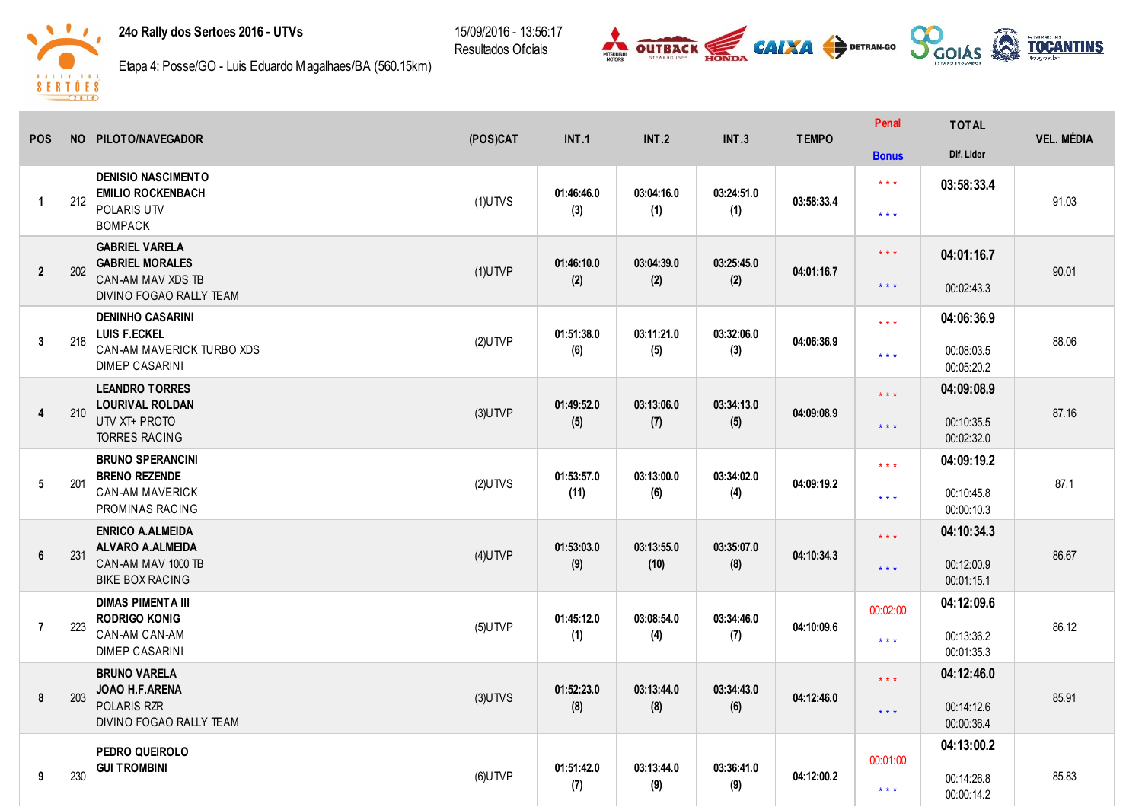## 24o Rally dos Sertoes 2016 - UTVs

15/09/2016 - 13:56:17 Resultados Oficiais





Etapa 4: Posse/GO - Luis Eduardo Magalhaes/BA (560.15km)

|                      |           |                                                                                                      |            |                    |                    |                   |              | Penal                              | <b>TOTAL</b>                           | <b>VEL. MÉDIA</b> |
|----------------------|-----------|------------------------------------------------------------------------------------------------------|------------|--------------------|--------------------|-------------------|--------------|------------------------------------|----------------------------------------|-------------------|
| <b>POS</b>           | <b>NO</b> | PILOTO/NAVEGADOR                                                                                     | (POS)CAT   | <b>INT.1</b>       | <b>INT.2</b>       | <b>INT.3</b>      | <b>TEMPO</b> | <b>Bonus</b>                       | Dif. Lider                             |                   |
| $\blacktriangleleft$ | 212       | <b>DENISIO NASCIMENTO</b><br><b>EMILIO ROCKENBACH</b><br>POLARIS UTV<br><b>BOMPACK</b>               | $(1)$ UTVS | 01:46:46.0<br>(3)  | 03:04:16.0<br>(1)  | 03:24:51.0<br>(1) | 03:58:33.4   | $\star\star\star$<br>$***$         | 03:58:33.4                             | 91.03             |
| $\overline{2}$       | 202       | <b>GABRIEL VARELA</b><br><b>GABRIEL MORALES</b><br>CAN-AM MAV XDS TB<br>DIVINO FOGAO RALLY TEAM      | $(1)$ UTVP | 01:46:10.0<br>(2)  | 03:04:39.0<br>(2)  | 03:25:45.0<br>(2) | 04:01:16.7   | $***$<br>$\star$ $\star$ $\star$   | 04:01:16.7<br>00:02:43.3               | 90.01             |
| 3                    | 218       | <b>DENINHO CASARINI</b><br><b>LUIS F.ECKEL</b><br>CAN-AM MAVERICK TURBO XDS<br><b>DIMEP CASARINI</b> | $(2)$ UTVP | 01:51:38.0<br>(6)  | 03:11:21.0<br>(5)  | 03:32:06.0<br>(3) | 04:06:36.9   | $***$<br>$***$                     | 04:06:36.9<br>00:08:03.5<br>00:05:20.2 | 88.06             |
| $\overline{4}$       | 210       | <b>LEANDRO TORRES</b><br><b>LOURIVAL ROLDAN</b><br>UTV XT+ PROTO<br><b>TORRES RACING</b>             | $(3)$ UTVP | 01:49:52.0<br>(5)  | 03:13:06.0<br>(7)  | 03:34:13.0<br>(5) | 04:09:08.9   | $\star$ $\star$ $\star$<br>$***$   | 04:09:08.9<br>00:10:35.5<br>00:02:32.0 | 87.16             |
| 5                    | 201       | <b>BRUNO SPERANCINI</b><br><b>BRENO REZENDE</b><br><b>CAN-AM MAVERICK</b><br><b>PROMINAS RACING</b>  | $(2)$ UTVS | 01:53:57.0<br>(11) | 03:13:00.0<br>(6)  | 03:34:02.0<br>(4) | 04:09:19.2   | $\star$ $\star$ $\star$<br>$* * *$ | 04:09:19.2<br>00:10:45.8<br>00:00:10.3 | 87.1              |
| $\boldsymbol{6}$     | 231       | <b>ENRICO A.ALMEIDA</b><br>ALVARO A.ALMEIDA<br>CAN-AM MAV 1000 TB<br><b>BIKE BOX RACING</b>          | $(4)$ UTVP | 01:53:03.0<br>(9)  | 03:13:55.0<br>(10) | 03:35:07.0<br>(8) | 04:10:34.3   | $***$<br>$***$                     | 04:10:34.3<br>00:12:00.9<br>00:01:15.1 | 86.67             |
| $\overline{7}$       | 223       | <b>DIMAS PIMENTA III</b><br><b>RODRIGO KONIG</b><br><b>CAN-AM CAN-AM</b><br><b>DIMEP CASARINI</b>    | $(5)$ UTVP | 01:45:12.0<br>(1)  | 03:08:54.0<br>(4)  | 03:34:46.0<br>(7) | 04:10:09.6   | 00:02:00<br>$***$                  | 04:12:09.6<br>00:13:36.2<br>00:01:35.3 | 86.12             |
| 8                    | 203       | <b>BRUNO VARELA</b><br>JOAO H.F.ARENA<br>POLARIS RZR<br>DIVINO FOGAO RALLY TEAM                      | $(3)$ UTVS | 01:52:23.0<br>(8)  | 03:13:44.0<br>(8)  | 03:34:43.0<br>(6) | 04:12:46.0   | $\star\star\star$<br>$***$         | 04:12:46.0<br>00:14:12.6<br>00:00:36.4 | 85.91             |
| 9                    | 230       | PEDRO QUEIROLO<br><b>GUI TROMBINI</b>                                                                | $(6)$ UTVP | 01:51:42.0<br>(7)  | 03:13:44.0<br>(9)  | 03:36:41.0<br>(9) | 04:12:00.2   | 00:01:00<br>$* * *$                | 04:13:00.2<br>00:14:26.8<br>00:00:14.2 | 85.83             |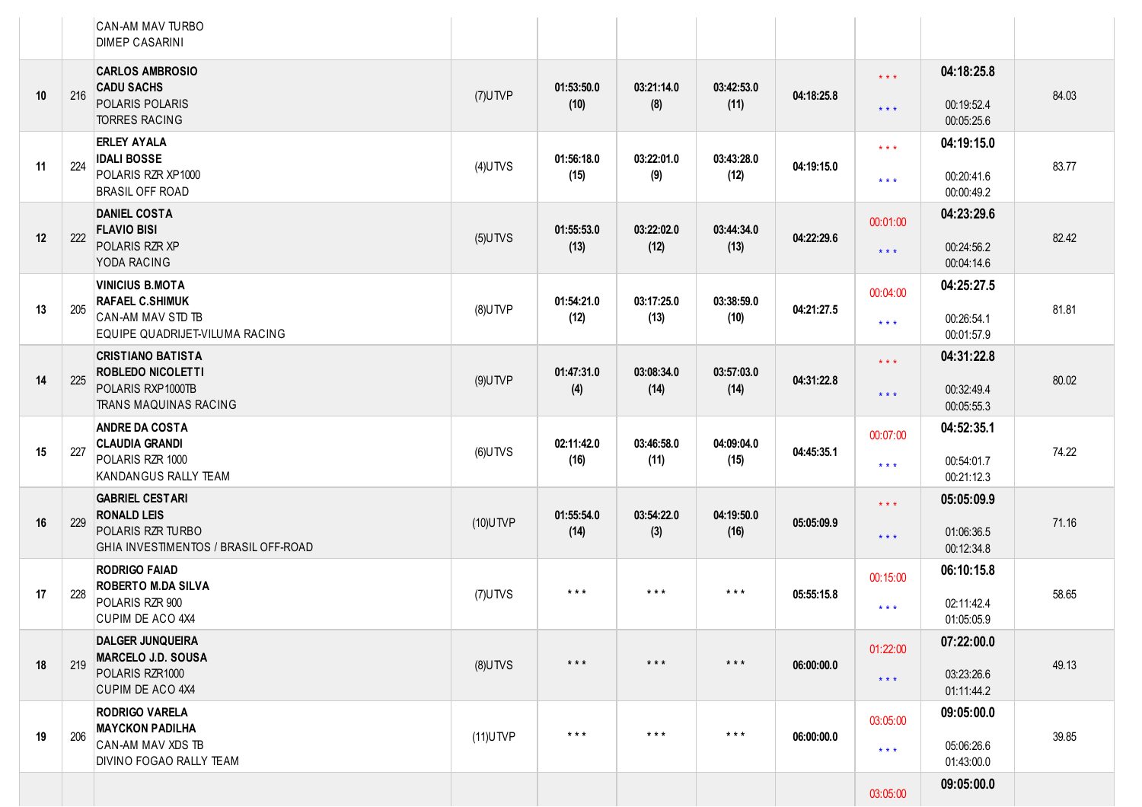|    |     | CAN-AM MAV TURBO<br><b>DIMEP CASARINI</b>                                                   |             |                         |                         |                         |            |                                              |                          |       |
|----|-----|---------------------------------------------------------------------------------------------|-------------|-------------------------|-------------------------|-------------------------|------------|----------------------------------------------|--------------------------|-------|
| 10 | 216 | <b>CARLOS AMBROSIO</b><br><b>CADU SACHS</b><br>POLARIS POLARIS                              | $(7)$ UTVP  | 01:53:50.0              | 03:21:14.0              | 03:42:53.0              | 04:18:25.8 | $\star$ $\star$ $\star$                      | 04:18:25.8               | 84.03 |
|    |     | <b>TORRES RACING</b>                                                                        |             | (10)                    | (8)                     | (11)                    |            | $***$                                        | 00:19:52.4<br>00:05:25.6 |       |
| 11 | 224 | <b>ERLEY AYALA</b><br><b>IDALI BOSSE</b><br>POLARIS RZR XP1000                              | $(4)$ UTVS  | 01:56:18.0<br>(15)      | 03:22:01.0<br>(9)       | 03:43:28.0<br>(12)      | 04:19:15.0 | $\star$ $\star$ $\star$<br>$\star\star\star$ | 04:19:15.0<br>00:20:41.6 | 83.77 |
|    |     | <b>BRASIL OFF ROAD</b><br><b>DANIEL COSTA</b>                                               |             |                         |                         |                         |            |                                              | 00:00:49.2<br>04:23:29.6 |       |
| 12 | 222 | <b>FLAVIO BISI</b>                                                                          | $(5)$ UTVS  | 01:55:53.0              | 03:22:02.0              | 03:44:34.0              | 04:22:29.6 | 00:01:00                                     |                          | 82.42 |
|    |     | POLARIS RZR XP<br>YODA RACING                                                               |             | (13)                    | (12)                    | (13)                    |            | $***$                                        | 00:24:56.2<br>00:04:14.6 |       |
|    |     | <b>VINICIUS B.MOTA</b><br><b>RAFAEL C.SHIMUK</b>                                            |             | 01:54:21.0              | 03:17:25.0              | 03:38:59.0              |            | 00:04:00                                     | 04:25:27.5               |       |
| 13 | 205 | CAN-AM MAV STD TB<br>EQUIPE QUADRIJET-VILUMA RACING                                         | $(8)$ UTVP  | (12)                    | (13)                    | (10)                    | 04:21:27.5 | $\star\star\star$                            | 00:26:54.1<br>00:01:57.9 | 81.81 |
|    |     | <b>CRISTIANO BATISTA</b><br><b>ROBLEDO NICOLETTI</b>                                        |             | 01:47:31.0              | 03:08:34.0              | 03:57:03.0              | 04:31:22.8 | $\star$ $\star$ $\star$                      | 04:31:22.8               | 80.02 |
| 14 | 225 | POLARIS RXP1000TB<br>TRANS MAQUINAS RACING                                                  | $(9)$ UTVP  | (4)                     | (14)                    | (14)                    |            | $\star \star \star$                          | 00:32:49.4<br>00:05:55.3 |       |
|    |     | <b>ANDRE DA COSTA</b><br><b>CLAUDIA GRANDI</b>                                              |             | 02:11:42.0              | 03:46:58.0              | 04:09:04.0              |            | 00:07:00                                     | 04:52:35.1               | 74.22 |
| 15 | 227 | POLARIS RZR 1000<br>KANDANGUS RALLY TEAM                                                    | $(6)$ UTVS  | (16)                    | (11)                    | (15)                    | 04:45:35.1 | $\star\star\star$                            | 00:54:01.7<br>00:21:12.3 |       |
|    |     | <b>GABRIEL CESTARI</b><br><b>RONALD LEIS</b>                                                |             | 01:55:54.0              | 03:54:22.0              | 04:19:50.0              |            | $\star$ $\star$ $\star$                      | 05:05:09.9               |       |
| 16 | 229 | POLARIS RZR TURBO<br>GHIA INVESTIMENTOS / BRASIL OFF-ROAD                                   | $(10)$ UTVP | (14)                    | (3)                     | (16)                    | 05:05:09.9 | $\star \star \star$                          | 01:06:36.5<br>00:12:34.8 | 71.16 |
|    |     | <b>RODRIGO FAIAD</b><br><b>ROBERTO M.DA SILVA</b>                                           |             |                         |                         |                         |            | 00:15:00                                     | 06:10:15.8               |       |
| 17 | 228 | POLARIS RZR 900<br>CUPIM DE ACO 4X4                                                         | $(7)$ UTVS  | $***$                   | $***$                   | $***$                   | 05:55:15.8 | $***$                                        | 02:11:42.4<br>01:05:05.9 | 58.65 |
|    |     | <b>DALGER JUNQUEIRA</b><br><b>MARCELO J.D. SOUSA</b><br>POLARIS RZR1000<br>CUPIM DE ACO 4X4 |             | $\star$ $\star$ $\star$ | $\star$ $\star$ $\star$ | $\star$ $\star$ $\star$ | 06:00:00.0 | 01:22:00                                     | 07:22:00.0               |       |
| 18 | 219 |                                                                                             | $(8)$ UTVS  |                         |                         |                         |            | $\star$ $\star$ $\star$                      | 03:23:26.6<br>01:11:44.2 | 49.13 |
|    |     | <b>RODRIGO VARELA</b>                                                                       |             |                         |                         |                         |            | 03:05:00                                     | 09:05:00.0               |       |
| 19 | 206 | <b>MAYCKON PADILHA</b><br>CAN-AM MAV XDS TB<br>DIVINO FOGAO RALLY TEAM                      | $(11)$ UTVP | $***$                   | $***$                   | $\star$ $\star$ $\star$ | 06:00:00.0 | $\star$ $\star$ $\star$                      | 05:06:26.6<br>01:43:00.0 | 39.85 |
|    |     |                                                                                             |             |                         |                         |                         |            | 03:05:00                                     | 09:05:00.0               |       |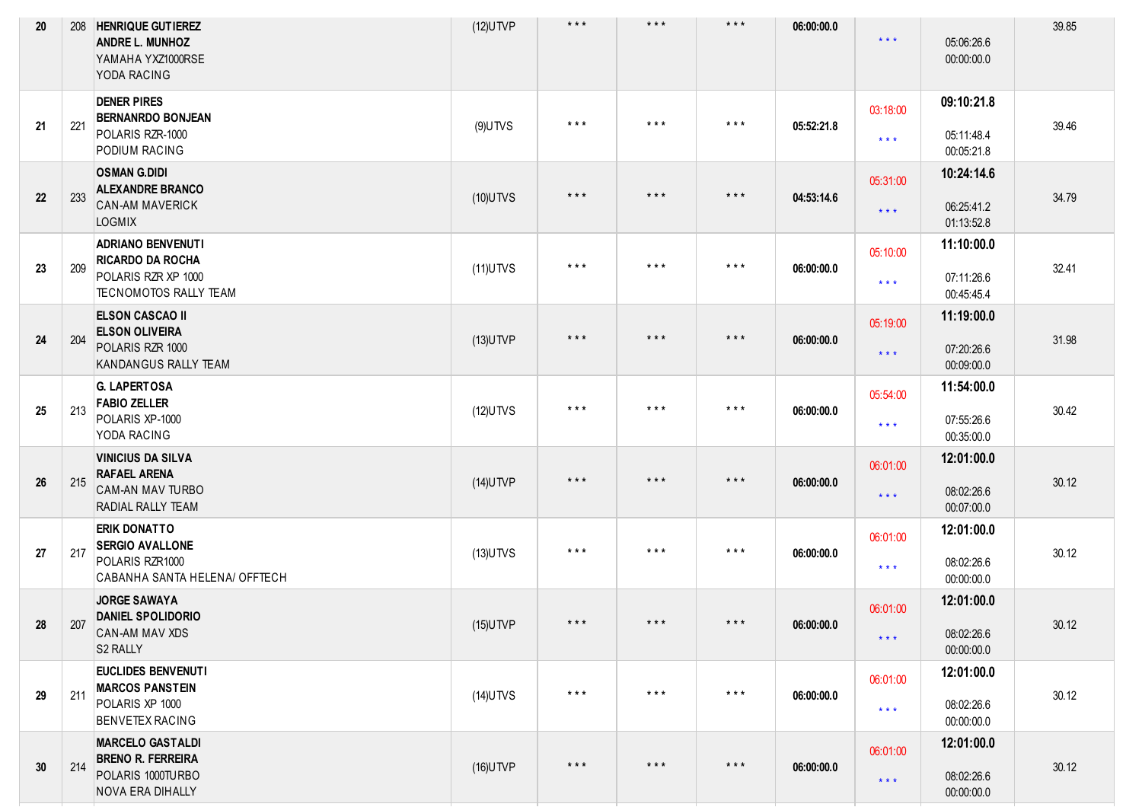| 20 |     | 208   HENRIQUE GUTIEREZ<br><b>ANDRE L. MUNHOZ</b><br>YAMAHA YXZ1000RSE<br>YODA RACING                      | $(12)$ UTVP | $***$                   | $***$                   | $\star$ $\star$ $\star$ | 06:00:00.0 | $***$                               | 05:06:26.6<br>00:00:00.0               | 39.85 |
|----|-----|------------------------------------------------------------------------------------------------------------|-------------|-------------------------|-------------------------|-------------------------|------------|-------------------------------------|----------------------------------------|-------|
| 21 | 221 | <b>DENER PIRES</b><br><b>BERNANRDO BONJEAN</b><br>POLARIS RZR-1000<br>PODIUM RACING                        | $(9)$ UTVS  | $***$                   | $***$                   | $***$                   | 05:52:21.8 | 03:18:00<br>$\star\star\star$       | 09:10:21.8<br>05:11:48.4<br>00:05:21.8 | 39.46 |
| 22 | 233 | <b>OSMAN G.DIDI</b><br><b>ALEXANDRE BRANCO</b><br><b>CAN-AM MAVERICK</b><br><b>LOGMIX</b>                  | $(10)$ UTVS | $***$                   | $***$                   | $\star$ $\star$ $\star$ | 04:53:14.6 | 05:31:00<br>$\star \star \star$     | 10:24:14.6<br>06:25:41.2<br>01:13:52.8 | 34.79 |
| 23 | 209 | <b>ADRIANO BENVENUTI</b><br><b>RICARDO DA ROCHA</b><br>POLARIS RZR XP 1000<br><b>TECNOMOTOS RALLY TEAM</b> | $(11)$ UTVS | $\star$ $\star$ $\star$ | $\star$ $\star$ $\star$ | $***$                   | 06:00:00.0 | 05:10:00<br>$***$                   | 11:10:00.0<br>07:11:26.6<br>00:45:45.4 | 32.41 |
| 24 | 204 | <b>ELSON CASCAO II</b><br><b>ELSON OLIVEIRA</b><br>POLARIS RZR 1000<br>KANDANGUS RALLY TEAM                | $(13)$ UTVP | $***$                   | $\star$ $\star$ $\star$ | $\star$ $\star$ $\star$ | 06:00:00.0 | 05:19:00<br>$***$                   | 11:19:00.0<br>07:20:26.6<br>00:09:00.0 | 31.98 |
| 25 | 213 | <b>G. LAPERTOSA</b><br><b>FABIO ZELLER</b><br>POLARIS XP-1000<br>YODA RACING                               | $(12)$ UTVS | $***$                   | $***$                   | $***$                   | 06:00:00.0 | 05:54:00<br>$\star\star\star$       | 11:54:00.0<br>07:55:26.6<br>00:35:00.0 | 30.42 |
| 26 | 215 | <b>VINICIUS DA SILVA</b><br><b>RAFAEL ARENA</b><br><b>CAM-AN MAV TURBO</b><br>RADIAL RALLY TEAM            | $(14)$ UTVP | $***$                   | $***$                   | $\star$ $\star$ $\star$ | 06:00:00.0 | 06:01:00<br>$\star$ $\star$ $\star$ | 12:01:00.0<br>08:02:26.6<br>00:07:00.0 | 30.12 |
| 27 | 217 | <b>ERIK DONATTO</b><br><b>SERGIO AVALLONE</b><br>POLARIS RZR1000<br>CABANHA SANTA HELENA/ OFFTECH          | $(13)$ UTVS | $***$                   | $***$                   | $***$                   | 06:00:00.0 | 06:01:00<br>$***$                   | 12:01:00.0<br>08:02:26.6<br>00:00:00.0 | 30.12 |
| 28 | 207 | <b>JORGE SAWAYA</b><br><b>DANIEL SPOLIDORIO</b><br>CAN-AM MAV XDS<br>S2 RALLY                              | $(15)$ UTVP | $***$                   | $\star$ $\star$ $\star$ | $***$                   | 06:00:00.0 | 06:01:00<br>$\star$ $\star$ $\star$ | 12:01:00.0<br>08:02:26.6<br>00:00:00.0 | 30.12 |
| 29 | 211 | EUCLIDES BENVENUTI<br><b>MARCOS PANSTEIN</b><br>POLARIS XP 1000<br><b>BENVETEX RACING</b>                  | $(14)$ UTVS | $***$                   | $\star$ $\star$ $\star$ | $\star$ $\star$ $\star$ | 06:00:00.0 | 06:01:00<br>$\star\star\star$       | 12:01:00.0<br>08:02:26.6<br>00:00:00.0 | 30.12 |
| 30 | 214 | <b>MARCELO GASTALDI</b><br><b>BRENO R. FERREIRA</b><br>POLARIS 1000TURBO<br>NOVA ERA DIHALLY               | $(16)$ UTVP | $***$                   | $\star$ $\star$ $\star$ | $\star$ $\star$ $\star$ | 06:00:00.0 | 06:01:00<br>$\star$ $\star$ $\star$ | 12:01:00.0<br>08:02:26.6<br>00:00:00.0 | 30.12 |